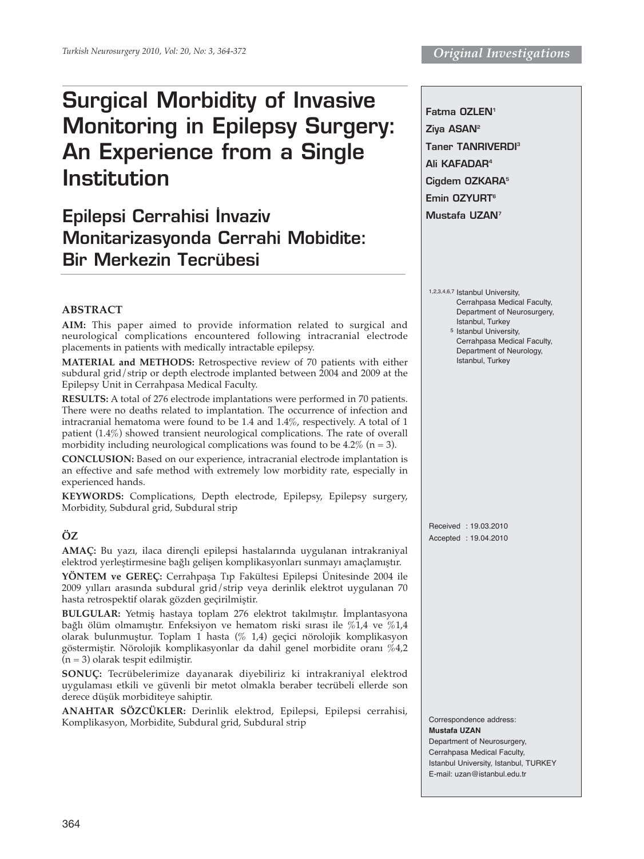# **Surgical Morbidity of Invasive Monitoring in Epilepsy Surgery: An Experience from a Single Institution**

## **Epilepsi Cerrahisi İnvaziv Monitarizasyonda Cerrahi Mobidite: Bir Merkezin Tecrübesi**

**Fatma OZLEN1 Ziya ASAN2 Taner TANRIVERDI3 Ali KAFADAR4 Cigdem OZKARA5 Emin OZYURT6 Mustafa UZAN7**

- 1,2,3,4,6,7 Istanbul University, Cerrahpasa Medical Faculty, Department of Neurosurgery, Istanbul, Turkey 5 Istanbul University,
	- Cerrahpasa Medical Faculty, Department of Neurology, Istanbul, Turkey

## **ABSTRACT**

**AIM:** This paper aimed to provide information related to surgical and neurological complications encountered following intracranial electrode placements in patients with medically intractable epilepsy.

**MATERIAL and METHODS:** Retrospective review of 70 patients with either subdural grid/strip or depth electrode implanted between 2004 and 2009 at the Epilepsy Unit in Cerrahpasa Medical Faculty.

**RESULTS:** A total of 276 electrode implantations were performed in 70 patients. There were no deaths related to implantation. The occurrence of infection and intracranial hematoma were found to be 1.4 and 1.4%, respectively. A total of 1 patient (1.4%) showed transient neurological complications. The rate of overall morbidity including neurological complications was found to be  $4.2\%$  (n = 3).

**CONCLUSION:** Based on our experience, intracranial electrode implantation is an effective and safe method with extremely low morbidity rate, especially in experienced hands.

**KEYWORDS:** Complications, Depth electrode, Epilepsy, Epilepsy surgery, Morbidity, Subdural grid, Subdural strip

## **ÖZ**

**AMAÇ:** Bu yazı, ilaca dirençli epilepsi hastalarında uygulanan intrakraniyal elektrod yerleştirmesine bağlı gelişen komplikasyonları sunmayı amaçlamıştır.

**YÖNTEM ve GEREÇ:** Cerrahpaşa Tıp Fakültesi Epilepsi Ünitesinde 2004 ile 2009 yılları arasında subdural grid/strip veya derinlik elektrot uygulanan 70 hasta retrospektif olarak gözden geçirilmiştir.

**BULGULAR:** Yetmiş hastaya toplam 276 elektrot takılmıştır. İmplantasyona bağlı ölüm olmamıştır. Enfeksiyon ve hematom riski sırası ile %1,4 ve %1,4 olarak bulunmuştur. Toplam 1 hasta (% 1,4) geçici nörolojik komplikasyon göstermiştir. Nörolojik komplikasyonlar da dahil genel morbidite oranı %4,2 (n = 3) olarak tespit edilmiştir.

**SONUÇ:** Tecrübelerimize dayanarak diyebiliriz ki intrakraniyal elektrod uygulaması etkili ve güvenli bir metot olmakla beraber tecrübeli ellerde son derece düşük morbiditeye sahiptir.

**ANAHTAR SÖZCÜKLER:** Derinlik elektrod, Epilepsi, Epilepsi cerrahisi, Komplikasyon, Morbidite, Subdural grid, Subdural strip

Received : 19.03.2010 Accepted : 19.04.2010

Correspondence address: **Mustafa UZAN**  Department of Neurosurgery, Cerrahpasa Medical Faculty, Istanbul University, Istanbul, TURKEY

E-mail: uzan@istanbul.edu.tr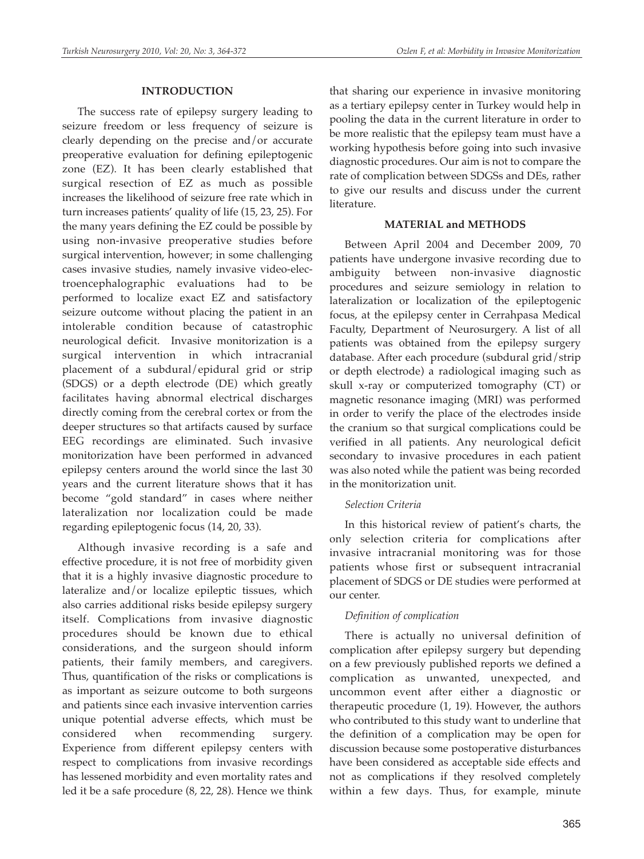#### **INTRODUCTION**

The success rate of epilepsy surgery leading to seizure freedom or less frequency of seizure is clearly depending on the precise and/or accurate preoperative evaluation for defining epileptogenic zone (EZ). It has been clearly established that surgical resection of EZ as much as possible increases the likelihood of seizure free rate which in turn increases patients' quality of life (15, 23, 25). For the many years defining the EZ could be possible by using non-invasive preoperative studies before surgical intervention, however; in some challenging cases invasive studies, namely invasive video-electroencephalographic evaluations had to be performed to localize exact EZ and satisfactory seizure outcome without placing the patient in an intolerable condition because of catastrophic neurological deficit. Invasive monitorization is a surgical intervention in which intracranial placement of a subdural/epidural grid or strip (SDGS) or a depth electrode (DE) which greatly facilitates having abnormal electrical discharges directly coming from the cerebral cortex or from the deeper structures so that artifacts caused by surface EEG recordings are eliminated. Such invasive monitorization have been performed in advanced epilepsy centers around the world since the last 30 years and the current literature shows that it has become "gold standard" in cases where neither lateralization nor localization could be made regarding epileptogenic focus (14, 20, 33).

Although invasive recording is a safe and effective procedure, it is not free of morbidity given that it is a highly invasive diagnostic procedure to lateralize and/or localize epileptic tissues, which also carries additional risks beside epilepsy surgery itself. Complications from invasive diagnostic procedures should be known due to ethical considerations, and the surgeon should inform patients, their family members, and caregivers. Thus, quantification of the risks or complications is as important as seizure outcome to both surgeons and patients since each invasive intervention carries unique potential adverse effects, which must be considered when recommending surgery. Experience from different epilepsy centers with respect to complications from invasive recordings has lessened morbidity and even mortality rates and led it be a safe procedure (8, 22, 28). Hence we think

that sharing our experience in invasive monitoring as a tertiary epilepsy center in Turkey would help in pooling the data in the current literature in order to be more realistic that the epilepsy team must have a working hypothesis before going into such invasive diagnostic procedures. Our aim is not to compare the rate of complication between SDGSs and DEs, rather to give our results and discuss under the current literature.

#### **MATERIAL and METHODS**

Between April 2004 and December 2009, 70 patients have undergone invasive recording due to ambiguity between non-invasive diagnostic procedures and seizure semiology in relation to lateralization or localization of the epileptogenic focus, at the epilepsy center in Cerrahpasa Medical Faculty, Department of Neurosurgery. A list of all patients was obtained from the epilepsy surgery database. After each procedure (subdural grid/strip or depth electrode) a radiological imaging such as skull x-ray or computerized tomography (CT) or magnetic resonance imaging (MRI) was performed in order to verify the place of the electrodes inside the cranium so that surgical complications could be verified in all patients. Any neurological deficit secondary to invasive procedures in each patient was also noted while the patient was being recorded in the monitorization unit.

## *Selection Criteria*

In this historical review of patient's charts, the only selection criteria for complications after invasive intracranial monitoring was for those patients whose first or subsequent intracranial placement of SDGS or DE studies were performed at our center.

## *Definition of complication*

There is actually no universal definition of complication after epilepsy surgery but depending on a few previously published reports we defined a complication as unwanted, unexpected, and uncommon event after either a diagnostic or therapeutic procedure (1, 19). However, the authors who contributed to this study want to underline that the definition of a complication may be open for discussion because some postoperative disturbances have been considered as acceptable side effects and not as complications if they resolved completely within a few days. Thus, for example, minute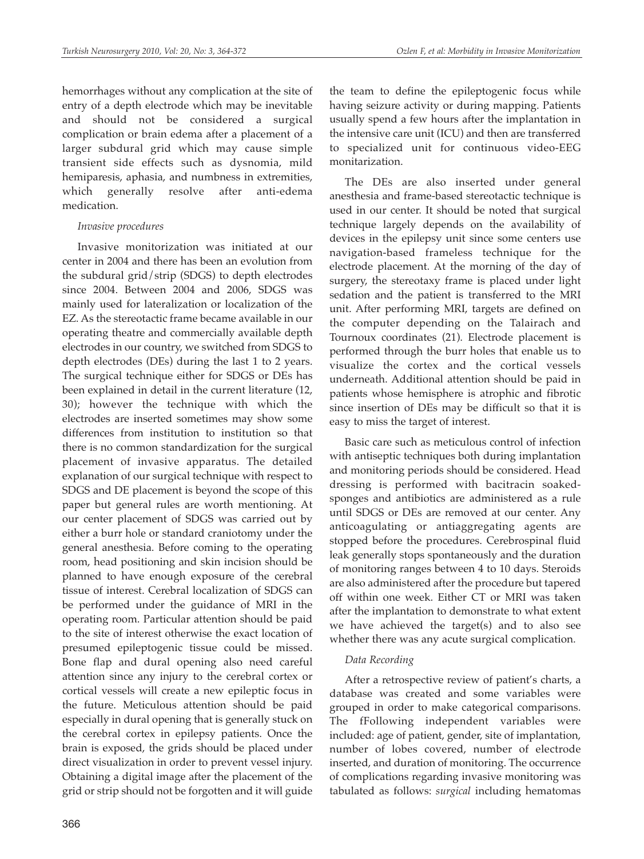hemorrhages without any complication at the site of entry of a depth electrode which may be inevitable and should not be considered a surgical complication or brain edema after a placement of a larger subdural grid which may cause simple transient side effects such as dysnomia, mild hemiparesis, aphasia, and numbness in extremities, which generally resolve after anti-edema medication.

## *Invasive procedures*

Invasive monitorization was initiated at our center in 2004 and there has been an evolution from the subdural grid/strip (SDGS) to depth electrodes since 2004. Between 2004 and 2006, SDGS was mainly used for lateralization or localization of the EZ. As the stereotactic frame became available in our operating theatre and commercially available depth electrodes in our country, we switched from SDGS to depth electrodes (DEs) during the last 1 to 2 years. The surgical technique either for SDGS or DEs has been explained in detail in the current literature (12, 30); however the technique with which the electrodes are inserted sometimes may show some differences from institution to institution so that there is no common standardization for the surgical placement of invasive apparatus. The detailed explanation of our surgical technique with respect to SDGS and DE placement is beyond the scope of this paper but general rules are worth mentioning. At our center placement of SDGS was carried out by either a burr hole or standard craniotomy under the general anesthesia. Before coming to the operating room, head positioning and skin incision should be planned to have enough exposure of the cerebral tissue of interest. Cerebral localization of SDGS can be performed under the guidance of MRI in the operating room. Particular attention should be paid to the site of interest otherwise the exact location of presumed epileptogenic tissue could be missed. Bone flap and dural opening also need careful attention since any injury to the cerebral cortex or cortical vessels will create a new epileptic focus in the future. Meticulous attention should be paid especially in dural opening that is generally stuck on the cerebral cortex in epilepsy patients. Once the brain is exposed, the grids should be placed under direct visualization in order to prevent vessel injury. Obtaining a digital image after the placement of the grid or strip should not be forgotten and it will guide

the team to define the epileptogenic focus while having seizure activity or during mapping. Patients usually spend a few hours after the implantation in the intensive care unit (ICU) and then are transferred to specialized unit for continuous video-EEG monitarization.

The DEs are also inserted under general anesthesia and frame-based stereotactic technique is used in our center. It should be noted that surgical technique largely depends on the availability of devices in the epilepsy unit since some centers use navigation-based frameless technique for the electrode placement. At the morning of the day of surgery, the stereotaxy frame is placed under light sedation and the patient is transferred to the MRI unit. After performing MRI, targets are defined on the computer depending on the Talairach and Tournoux coordinates (21). Electrode placement is performed through the burr holes that enable us to visualize the cortex and the cortical vessels underneath. Additional attention should be paid in patients whose hemisphere is atrophic and fibrotic since insertion of DEs may be difficult so that it is easy to miss the target of interest.

Basic care such as meticulous control of infection with antiseptic techniques both during implantation and monitoring periods should be considered. Head dressing is performed with bacitracin soakedsponges and antibiotics are administered as a rule until SDGS or DEs are removed at our center. Any anticoagulating or antiaggregating agents are stopped before the procedures. Cerebrospinal fluid leak generally stops spontaneously and the duration of monitoring ranges between 4 to 10 days. Steroids are also administered after the procedure but tapered off within one week. Either CT or MRI was taken after the implantation to demonstrate to what extent we have achieved the target(s) and to also see whether there was any acute surgical complication.

## *Data Recording*

After a retrospective review of patient's charts, a database was created and some variables were grouped in order to make categorical comparisons. The fFollowing independent variables were included: age of patient, gender, site of implantation, number of lobes covered, number of electrode inserted, and duration of monitoring. The occurrence of complications regarding invasive monitoring was tabulated as follows: *surgical* including hematomas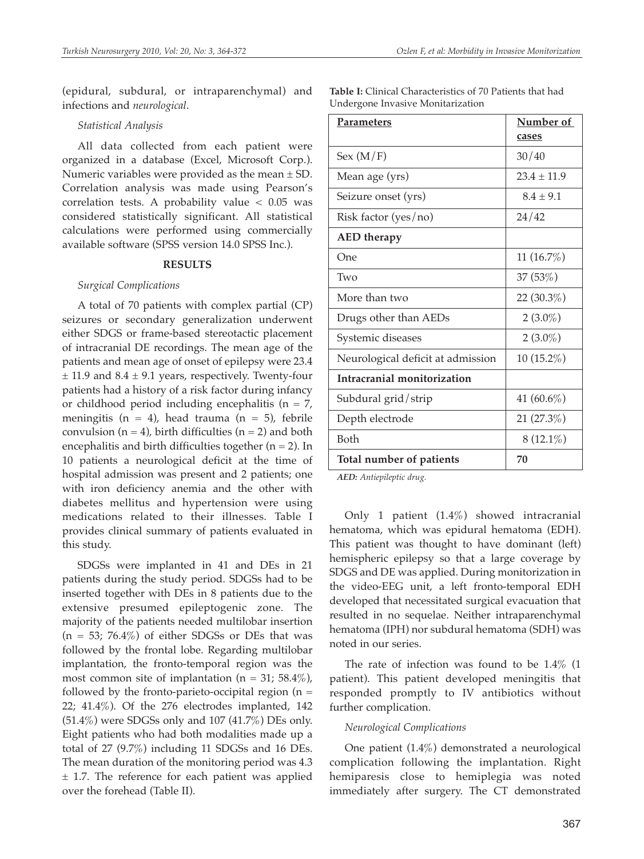(epidural, subdural, or intraparenchymal) and infections and *neurological*.

#### *Statistical Analysis*

All data collected from each patient were organized in a database (Excel, Microsoft Corp.). Numeric variables were provided as the mean  $\pm$  SD. Correlation analysis was made using Pearson's correlation tests. A probability value  $< 0.05$  was considered statistically significant. All statistical calculations were performed using commercially available software (SPSS version 14.0 SPSS Inc.).

#### **RESULTS**

#### *Surgical Complications*

A total of 70 patients with complex partial (CP) seizures or secondary generalization underwent either SDGS or frame-based stereotactic placement of intracranial DE recordings. The mean age of the patients and mean age of onset of epilepsy were 23.4  $\pm$  11.9 and 8.4  $\pm$  9.1 years, respectively. Twenty-four patients had a history of a risk factor during infancy or childhood period including encephalitis ( $n = 7$ , meningitis (n = 4), head trauma (n = 5), febrile convulsion  $(n = 4)$ , birth difficulties  $(n = 2)$  and both encephalitis and birth difficulties together  $(n = 2)$ . In 10 patients a neurological deficit at the time of hospital admission was present and 2 patients; one with iron deficiency anemia and the other with diabetes mellitus and hypertension were using medications related to their illnesses. Table I provides clinical summary of patients evaluated in this study.

SDGSs were implanted in 41 and DEs in 21 patients during the study period. SDGSs had to be inserted together with DEs in 8 patients due to the extensive presumed epileptogenic zone. The majority of the patients needed multilobar insertion  $(n = 53; 76.4\%)$  of either SDGSs or DEs that was followed by the frontal lobe. Regarding multilobar implantation, the fronto-temporal region was the most common site of implantation ( $n = 31$ ; 58.4%), followed by the fronto-parieto-occipital region  $(n =$ 22; 41.4%). Of the 276 electrodes implanted, 142  $(51.4\%)$  were SDGSs only and 107  $(41.7\%)$  DEs only. Eight patients who had both modalities made up a total of 27 (9.7%) including 11 SDGSs and 16 DEs. The mean duration of the monitoring period was 4.3  $±$  1.7. The reference for each patient was applied over the forehead (Table II).

| <b>Table I:</b> Clinical Characteristics of 70 Patients that had |  |
|------------------------------------------------------------------|--|
| Undergone Invasive Monitarization                                |  |

| <b>Parameters</b>                 | Number of       |  |
|-----------------------------------|-----------------|--|
|                                   | cases           |  |
| Sex(M/F)                          | 30/40           |  |
| Mean age (yrs)                    | $23.4 \pm 11.9$ |  |
| Seizure onset (yrs)               | $8.4 \pm 9.1$   |  |
| Risk factor $(yes/no)$            | 24/42           |  |
| <b>AED</b> therapy                |                 |  |
| One                               | 11(16.7%)       |  |
| Two                               | 37(53%)         |  |
| More than two                     | 22 $(30.3\%)$   |  |
| Drugs other than AEDs             | $2(3.0\%)$      |  |
| Systemic diseases                 | $2(3.0\%)$      |  |
| Neurological deficit at admission | $10(15.2\%)$    |  |
| Intracranial monitorization       |                 |  |
| Subdural grid/strip               | 41 $(60.6\%)$   |  |
| Depth electrode                   | 21(27.3%)       |  |
| <b>Both</b>                       | $8(12.1\%)$     |  |
| Total number of patients          | 70              |  |
|                                   |                 |  |

*AED: Antiepileptic drug.*

Only 1 patient (1.4%) showed intracranial hematoma, which was epidural hematoma (EDH). This patient was thought to have dominant (left) hemispheric epilepsy so that a large coverage by SDGS and DE was applied. During monitorization in the video-EEG unit, a left fronto-temporal EDH developed that necessitated surgical evacuation that resulted in no sequelae. Neither intraparenchymal hematoma (IPH) nor subdural hematoma (SDH) was noted in our series.

The rate of infection was found to be 1.4% (1 patient). This patient developed meningitis that responded promptly to IV antibiotics without further complication.

#### *Neurological Complications*

One patient (1.4%) demonstrated a neurological complication following the implantation. Right hemiparesis close to hemiplegia was noted immediately after surgery. The CT demonstrated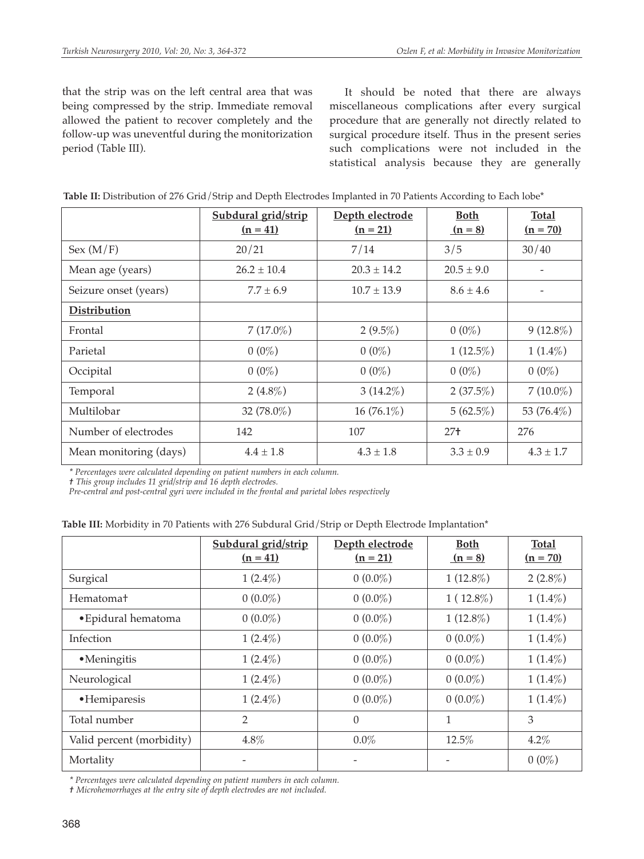that the strip was on the left central area that was being compressed by the strip. Immediate removal allowed the patient to recover completely and the follow-up was uneventful during the monitorization period (Table III).

It should be noted that there are always miscellaneous complications after every surgical procedure that are generally not directly related to surgical procedure itself. Thus in the present series such complications were not included in the statistical analysis because they are generally

|                        | Subdural grid/strip<br>$(n = 41)$ | Depth electrode<br>$(n = 21)$ | <b>Both</b><br>$(n = 8)$ | <b>Total</b><br>$(n = 70)$ |
|------------------------|-----------------------------------|-------------------------------|--------------------------|----------------------------|
| Sex (M/F)              | 20/21                             | 7/14                          | 3/5                      | 30/40                      |
| Mean age (years)       | $26.2 \pm 10.4$                   | $20.3 \pm 14.2$               | $20.5 \pm 9.0$           |                            |
| Seizure onset (years)  | $7.7 \pm 6.9$                     | $10.7 \pm 13.9$               | $8.6 \pm 4.6$            |                            |
| Distribution           |                                   |                               |                          |                            |
| Frontal                | $7(17.0\%)$                       | $2(9.5\%)$                    | $0(0\%)$                 | $9(12.8\%)$                |
| Parietal               | $0(0\%)$                          | $0(0\%)$                      | $1(12.5\%)$              | $1(1.4\%)$                 |
| Occipital              | $0(0\%)$                          | $0(0\%)$                      | $0(0\%)$                 | $0(0\%)$                   |
| Temporal               | $2(4.8\%)$                        | $3(14.2\%)$                   | $2(37.5\%)$              | $7(10.0\%)$                |
| Multilobar             | 32 (78.0%)                        | $16(76.1\%)$                  | $5(62.5\%)$              | 53 (76.4%)                 |
| Number of electrodes   | 142                               | 107                           | $27+$                    | 276                        |
| Mean monitoring (days) | $4.4 \pm 1.8$                     | $4.3 \pm 1.8$                 | $3.3 \pm 0.9$            | $4.3 \pm 1.7$              |

|  |  |  |  | Table II: Distribution of 276 Grid/Strip and Depth Electrodes Implanted in 70 Patients According to Each lobe* |
|--|--|--|--|----------------------------------------------------------------------------------------------------------------|
|--|--|--|--|----------------------------------------------------------------------------------------------------------------|

*\* Percentages were calculated depending on patient numbers in each column.*

*† This group includes 11 grid/strip and 16 depth electrodes.*

*Pre-central and post-central gyri were included in the frontal and parietal lobes respectively*

|  |  |  |  | Table III: Morbidity in 70 Patients with 276 Subdural Grid/Strip or Depth Electrode Implantation* |
|--|--|--|--|---------------------------------------------------------------------------------------------------|
|--|--|--|--|---------------------------------------------------------------------------------------------------|

|                           | Subdural grid/strip<br>$(n = 41)$ | Depth electrode<br>$(n = 21)$ | <b>Both</b><br>$(n = 8)$ | <b>Total</b><br>$(n = 70)$ |
|---------------------------|-----------------------------------|-------------------------------|--------------------------|----------------------------|
| Surgical                  | $1(2.4\%)$                        | $0(0.0\%)$                    | $1(12.8\%)$              | $2(2.8\%)$                 |
| Hematoma <sup>+</sup>     | $0(0.0\%)$                        | $0(0.0\%)$                    | $1(12.8\%)$              | $1(1.4\%)$                 |
| • Epidural hematoma       | $0(0.0\%)$                        | $0(0.0\%)$                    | $1(12.8\%)$              | $1(1.4\%)$                 |
| Infection                 | $1(2.4\%)$                        | $0(0.0\%)$                    | $0(0.0\%)$               | $1(1.4\%)$                 |
| • Meningitis              | $1(2.4\%)$                        | $0(0.0\%)$                    | $0(0.0\%)$               | $1(1.4\%)$                 |
| Neurological              | $1(2.4\%)$                        | $0(0.0\%)$                    | $0(0.0\%)$               | $1(1.4\%)$                 |
| ·Hemiparesis              | $1(2.4\%)$                        | $0(0.0\%)$                    | $0(0.0\%)$               | $1(1.4\%)$                 |
| Total number              | $\overline{2}$                    | $\theta$                      | 1                        | 3                          |
| Valid percent (morbidity) | 4.8%                              | $0.0\%$                       | 12.5%                    | 4.2%                       |
| Mortality                 |                                   |                               |                          | $0(0\%)$                   |

*\* Percentages were calculated depending on patient numbers in each column.*

*† Microhemorrhages at the entry site of depth electrodes are not included.*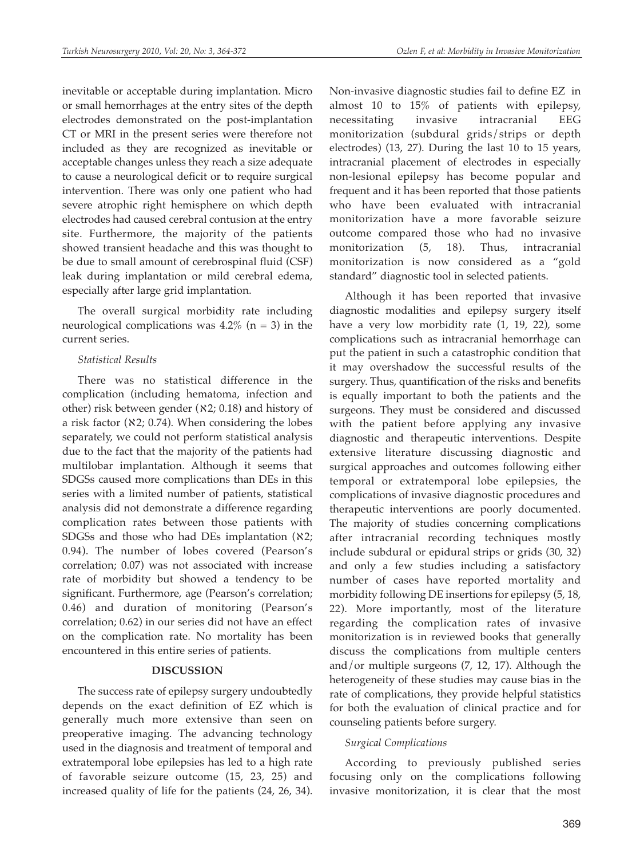inevitable or acceptable during implantation. Micro or small hemorrhages at the entry sites of the depth electrodes demonstrated on the post-implantation CT or MRI in the present series were therefore not included as they are recognized as inevitable or acceptable changes unless they reach a size adequate to cause a neurological deficit or to require surgical intervention. There was only one patient who had severe atrophic right hemisphere on which depth electrodes had caused cerebral contusion at the entry site. Furthermore, the majority of the patients showed transient headache and this was thought to be due to small amount of cerebrospinal fluid (CSF) leak during implantation or mild cerebral edema, especially after large grid implantation.

The overall surgical morbidity rate including neurological complications was  $4.2\%$  (n = 3) in the current series.

#### *Statistical Results*

There was no statistical difference in the complication (including hematoma, infection and other) risk between gender (ℵ2; 0.18) and history of a risk factor ( $\aleph$ 2; 0.74). When considering the lobes separately, we could not perform statistical analysis due to the fact that the majority of the patients had multilobar implantation. Although it seems that SDGSs caused more complications than DEs in this series with a limited number of patients, statistical analysis did not demonstrate a difference regarding complication rates between those patients with SDGSs and those who had DEs implantation  $(X2)$ ; 0.94). The number of lobes covered (Pearson's correlation; 0.07) was not associated with increase rate of morbidity but showed a tendency to be significant. Furthermore, age (Pearson's correlation; 0.46) and duration of monitoring (Pearson's correlation; 0.62) in our series did not have an effect on the complication rate. No mortality has been encountered in this entire series of patients.

### **DISCUSSION**

The success rate of epilepsy surgery undoubtedly depends on the exact definition of EZ which is generally much more extensive than seen on preoperative imaging. The advancing technology used in the diagnosis and treatment of temporal and extratemporal lobe epilepsies has led to a high rate of favorable seizure outcome (15, 23, 25) and increased quality of life for the patients (24, 26, 34). Non-invasive diagnostic studies fail to define EZ in almost 10 to 15% of patients with epilepsy, necessitating invasive intracranial EEG monitorization (subdural grids/strips or depth electrodes) (13, 27). During the last 10 to 15 years, intracranial placement of electrodes in especially non-lesional epilepsy has become popular and frequent and it has been reported that those patients who have been evaluated with intracranial monitorization have a more favorable seizure outcome compared those who had no invasive monitorization (5, 18). Thus, intracranial monitorization is now considered as a "gold standard" diagnostic tool in selected patients.

Although it has been reported that invasive diagnostic modalities and epilepsy surgery itself have a very low morbidity rate (1, 19, 22), some complications such as intracranial hemorrhage can put the patient in such a catastrophic condition that it may overshadow the successful results of the surgery. Thus, quantification of the risks and benefits is equally important to both the patients and the surgeons. They must be considered and discussed with the patient before applying any invasive diagnostic and therapeutic interventions. Despite extensive literature discussing diagnostic and surgical approaches and outcomes following either temporal or extratemporal lobe epilepsies, the complications of invasive diagnostic procedures and therapeutic interventions are poorly documented. The majority of studies concerning complications after intracranial recording techniques mostly include subdural or epidural strips or grids (30, 32) and only a few studies including a satisfactory number of cases have reported mortality and morbidity following DE insertions for epilepsy (5, 18, 22). More importantly, most of the literature regarding the complication rates of invasive monitorization is in reviewed books that generally discuss the complications from multiple centers and/or multiple surgeons (7, 12, 17). Although the heterogeneity of these studies may cause bias in the rate of complications, they provide helpful statistics for both the evaluation of clinical practice and for counseling patients before surgery.

#### *Surgical Complications*

According to previously published series focusing only on the complications following invasive monitorization, it is clear that the most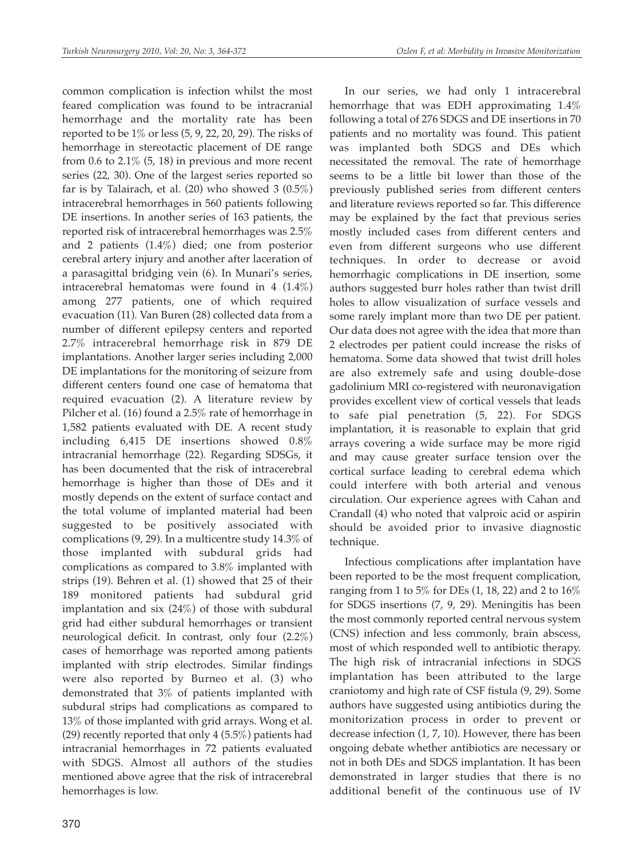common complication is infection whilst the most feared complication was found to be intracranial hemorrhage and the mortality rate has been reported to be 1% or less (5, 9, 22, 20, 29). The risks of hemorrhage in stereotactic placement of DE range from 0.6 to  $2.1\%$  (5, 18) in previous and more recent series (22, 30). One of the largest series reported so far is by Talairach, et al. (20) who showed 3 (0.5%) intracerebral hemorrhages in 560 patients following DE insertions. In another series of 163 patients, the reported risk of intracerebral hemorrhages was 2.5% and 2 patients (1.4%) died; one from posterior cerebral artery injury and another after laceration of a parasagittal bridging vein (6). In Munari's series, intracerebral hematomas were found in 4 (1.4%) among 277 patients, one of which required evacuation (11). Van Buren (28) collected data from a number of different epilepsy centers and reported 2.7% intracerebral hemorrhage risk in 879 DE implantations. Another larger series including 2,000 DE implantations for the monitoring of seizure from different centers found one case of hematoma that required evacuation (2). A literature review by Pilcher et al. (16) found a 2.5% rate of hemorrhage in 1,582 patients evaluated with DE. A recent study including 6,415 DE insertions showed 0.8% intracranial hemorrhage (22). Regarding SDSGs, it has been documented that the risk of intracerebral hemorrhage is higher than those of DEs and it mostly depends on the extent of surface contact and the total volume of implanted material had been suggested to be positively associated with complications (9, 29). In a multicentre study 14.3% of those implanted with subdural grids had complications as compared to 3.8% implanted with strips (19). Behren et al. (1) showed that 25 of their 189 monitored patients had subdural grid implantation and six  $(24%)$  of those with subdural grid had either subdural hemorrhages or transient neurological deficit. In contrast, only four (2.2%) cases of hemorrhage was reported among patients implanted with strip electrodes. Similar findings were also reported by Burneo et al. (3) who demonstrated that 3% of patients implanted with subdural strips had complications as compared to 13% of those implanted with grid arrays. Wong et al. (29) recently reported that only 4 (5.5%) patients had intracranial hemorrhages in 72 patients evaluated with SDGS. Almost all authors of the studies mentioned above agree that the risk of intracerebral hemorrhages is low.

In our series, we had only 1 intracerebral hemorrhage that was EDH approximating 1.4% following a total of 276 SDGS and DE insertions in 70 patients and no mortality was found. This patient was implanted both SDGS and DEs which necessitated the removal. The rate of hemorrhage seems to be a little bit lower than those of the previously published series from different centers and literature reviews reported so far. This difference may be explained by the fact that previous series mostly included cases from different centers and even from different surgeons who use different techniques. In order to decrease or avoid hemorrhagic complications in DE insertion, some authors suggested burr holes rather than twist drill holes to allow visualization of surface vessels and some rarely implant more than two DE per patient. Our data does not agree with the idea that more than 2 electrodes per patient could increase the risks of hematoma. Some data showed that twist drill holes are also extremely safe and using double-dose gadolinium MRI co-registered with neuronavigation provides excellent view of cortical vessels that leads to safe pial penetration (5, 22). For SDGS implantation, it is reasonable to explain that grid arrays covering a wide surface may be more rigid and may cause greater surface tension over the cortical surface leading to cerebral edema which could interfere with both arterial and venous circulation. Our experience agrees with Cahan and Crandall (4) who noted that valproic acid or aspirin should be avoided prior to invasive diagnostic technique.

Infectious complications after implantation have been reported to be the most frequent complication, ranging from 1 to 5% for DEs (1, 18, 22) and 2 to 16% for SDGS insertions (7, 9, 29). Meningitis has been the most commonly reported central nervous system (CNS) infection and less commonly, brain abscess, most of which responded well to antibiotic therapy. The high risk of intracranial infections in SDGS implantation has been attributed to the large craniotomy and high rate of CSF fistula (9, 29). Some authors have suggested using antibiotics during the monitorization process in order to prevent or decrease infection (1, 7, 10). However, there has been ongoing debate whether antibiotics are necessary or not in both DEs and SDGS implantation. It has been demonstrated in larger studies that there is no additional benefit of the continuous use of IV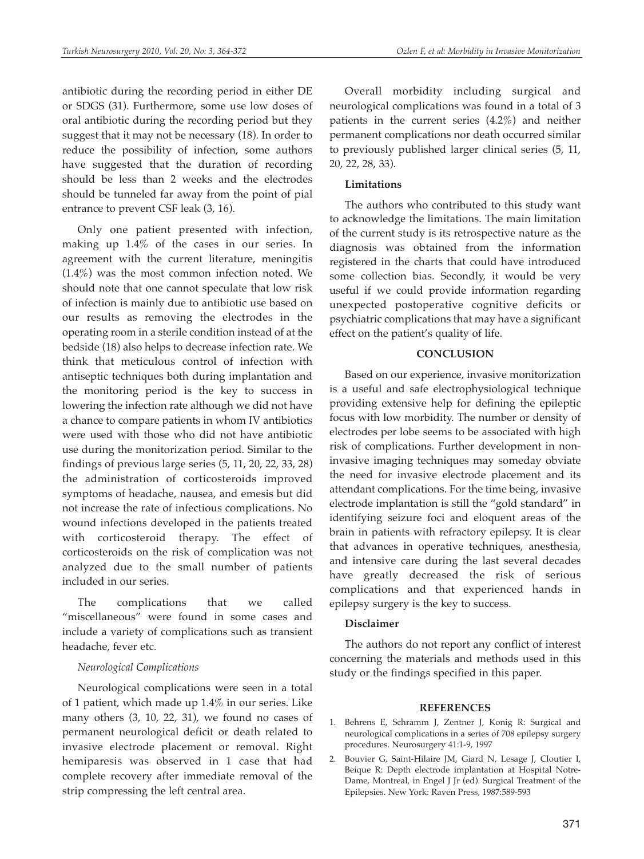antibiotic during the recording period in either DE or SDGS (31). Furthermore, some use low doses of oral antibiotic during the recording period but they suggest that it may not be necessary (18). In order to reduce the possibility of infection, some authors have suggested that the duration of recording should be less than 2 weeks and the electrodes should be tunneled far away from the point of pial entrance to prevent CSF leak (3, 16).

Only one patient presented with infection, making up 1.4% of the cases in our series. In agreement with the current literature, meningitis (1.4%) was the most common infection noted. We should note that one cannot speculate that low risk of infection is mainly due to antibiotic use based on our results as removing the electrodes in the operating room in a sterile condition instead of at the bedside (18) also helps to decrease infection rate. We think that meticulous control of infection with antiseptic techniques both during implantation and the monitoring period is the key to success in lowering the infection rate although we did not have a chance to compare patients in whom IV antibiotics were used with those who did not have antibiotic use during the monitorization period. Similar to the findings of previous large series (5, 11, 20, 22, 33, 28) the administration of corticosteroids improved symptoms of headache, nausea, and emesis but did not increase the rate of infectious complications. No wound infections developed in the patients treated with corticosteroid therapy. The effect of corticosteroids on the risk of complication was not analyzed due to the small number of patients included in our series.

The complications that we called "miscellaneous" were found in some cases and include a variety of complications such as transient headache, fever etc.

#### *Neurological Complications*

Neurological complications were seen in a total of 1 patient, which made up 1.4% in our series. Like many others (3, 10, 22, 31), we found no cases of permanent neurological deficit or death related to invasive electrode placement or removal. Right hemiparesis was observed in 1 case that had complete recovery after immediate removal of the strip compressing the left central area.

Overall morbidity including surgical and neurological complications was found in a total of 3 patients in the current series (4.2%) and neither permanent complications nor death occurred similar to previously published larger clinical series (5, 11, 20, 22, 28, 33).

#### **Limitations**

The authors who contributed to this study want to acknowledge the limitations. The main limitation of the current study is its retrospective nature as the diagnosis was obtained from the information registered in the charts that could have introduced some collection bias. Secondly, it would be very useful if we could provide information regarding unexpected postoperative cognitive deficits or psychiatric complications that may have a significant effect on the patient's quality of life.

#### **CONCLUSION**

Based on our experience, invasive monitorization is a useful and safe electrophysiological technique providing extensive help for defining the epileptic focus with low morbidity. The number or density of electrodes per lobe seems to be associated with high risk of complications. Further development in noninvasive imaging techniques may someday obviate the need for invasive electrode placement and its attendant complications. For the time being, invasive electrode implantation is still the "gold standard" in identifying seizure foci and eloquent areas of the brain in patients with refractory epilepsy. It is clear that advances in operative techniques, anesthesia, and intensive care during the last several decades have greatly decreased the risk of serious complications and that experienced hands in epilepsy surgery is the key to success.

#### **Disclaimer**

The authors do not report any conflict of interest concerning the materials and methods used in this study or the findings specified in this paper.

#### **REFERENCES**

- 1. Behrens E, Schramm J, Zentner J, Konig R: Surgical and neurological complications in a series of 708 epilepsy surgery procedures. Neurosurgery 41:1-9, 1997
- 2. Bouvier G, Saint-Hilaire JM, Giard N, Lesage J, Cloutier I, Beique R: Depth electrode implantation at Hospital Notre-Dame, Montreal, in Engel J Jr (ed). Surgical Treatment of the Epilepsies. New York: Raven Press, 1987:589-593